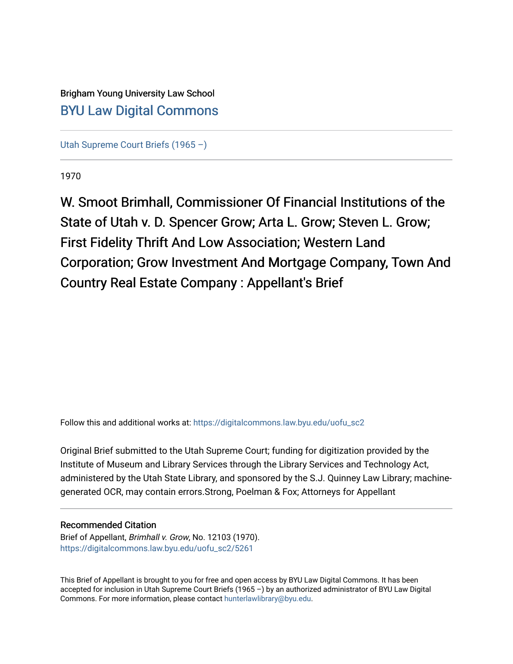## Brigham Young University Law School [BYU Law Digital Commons](https://digitalcommons.law.byu.edu/)

[Utah Supreme Court Briefs \(1965 –\)](https://digitalcommons.law.byu.edu/uofu_sc2)

1970

W. Smoot Brimhall, Commissioner Of Financial Institutions of the State of Utah v. D. Spencer Grow; Arta L. Grow; Steven L. Grow; First Fidelity Thrift And Low Association; Western Land Corporation; Grow Investment And Mortgage Company, Town And Country Real Estate Company : Appellant's Brief

Follow this and additional works at: [https://digitalcommons.law.byu.edu/uofu\\_sc2](https://digitalcommons.law.byu.edu/uofu_sc2?utm_source=digitalcommons.law.byu.edu%2Fuofu_sc2%2F5261&utm_medium=PDF&utm_campaign=PDFCoverPages)

Original Brief submitted to the Utah Supreme Court; funding for digitization provided by the Institute of Museum and Library Services through the Library Services and Technology Act, administered by the Utah State Library, and sponsored by the S.J. Quinney Law Library; machinegenerated OCR, may contain errors.Strong, Poelman & Fox; Attorneys for Appellant

#### Recommended Citation

Brief of Appellant, Brimhall v. Grow, No. 12103 (1970). [https://digitalcommons.law.byu.edu/uofu\\_sc2/5261](https://digitalcommons.law.byu.edu/uofu_sc2/5261?utm_source=digitalcommons.law.byu.edu%2Fuofu_sc2%2F5261&utm_medium=PDF&utm_campaign=PDFCoverPages) 

This Brief of Appellant is brought to you for free and open access by BYU Law Digital Commons. It has been accepted for inclusion in Utah Supreme Court Briefs (1965 –) by an authorized administrator of BYU Law Digital Commons. For more information, please contact [hunterlawlibrary@byu.edu](mailto:hunterlawlibrary@byu.edu).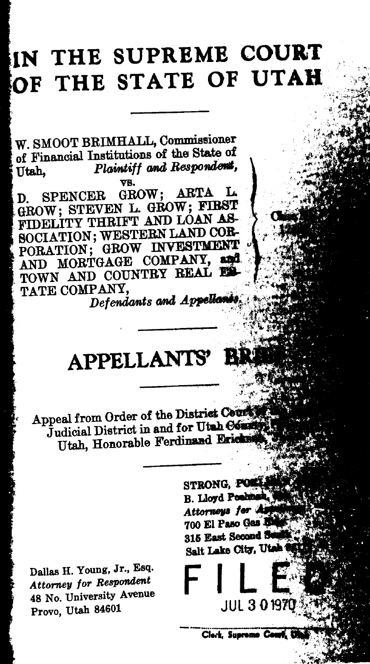# IN THE SUPREME COURT **OF THE STATE OF UTAH**

W. SMOOT BRIMHALL, Commissioner of Financial Institutions of the State of Utah, *Plaintiff and Respondent*, vs .

. D. SPENCER GROW; ARTA L. -GROW; STEVEN L. GROW; FIRST FIDELITY THRIFT AND LOAN AS-SOCIATION; WESTERN LAND COR-PORATION; GROW INVESTMENT AND MORTGAGE COMPANY, and TOWN AND COUNTRY REAL ES TATE COMPANY.

Defendants and Appellants.  $\ldots$  .  $\mathcal{W}$  .  $\mathcal{W}$ ----- '

## **APPELLANTS'**

Appeal from Order of the District County Judicial District in and for Utah Common Utah, Honorable Ferdinand Ericks

Dallas H. Young, Jr., Esq. *Attorney for Respondent*  48 No. University Avenue Provo, Utah 84601

STRONG, POES .<br>.xm B. Lloyd Position, Attorneys for As 700 El Paso Gas d 315 East Second St Salt Lake City, Utah  $\mathbb{Z}_2^2$ 

 $\left[ \begin{smallmatrix} 1 & 0 \ 0 & 0 \end{smallmatrix} \right]$ 

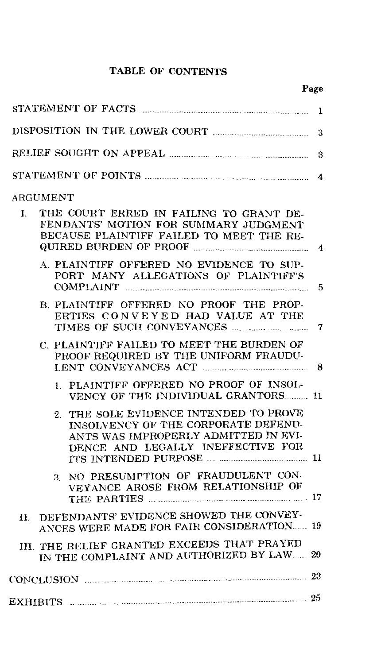#### TABLE OF CONTENTS

| 3                                                                                                                                                                      |                     |  |  |  |
|------------------------------------------------------------------------------------------------------------------------------------------------------------------------|---------------------|--|--|--|
| 3                                                                                                                                                                      |                     |  |  |  |
|                                                                                                                                                                        | 4                   |  |  |  |
| ARGUMENT                                                                                                                                                               |                     |  |  |  |
| THE COURT ERRED IN FAILING TO GRANT DE-<br>I.<br>FENDANTS' MOTION FOR SUMMARY JUDGMENT<br>BECAUSE PLAINTIFF FAILED TO MEET THE RE-                                     | $\overline{\bf{4}}$ |  |  |  |
| A. PLAINTIFF OFFERED NO EVIDENCE TO SUP-<br>PORT MANY ALLEGATIONS OF PLAINTIFF'S                                                                                       | 5                   |  |  |  |
| B. PLAINTIFF OFFERED NO PROOF THE PROP-<br>ERTIES CONVEYED HAD VALUE AT THE                                                                                            | 7                   |  |  |  |
| C. PLAINTIFF FAILED TO MEET THE BURDEN OF<br>PROOF REQUIRED BY THE UNIFORM FRAUDU-                                                                                     | 8                   |  |  |  |
| 1. PLAINTIFF OFFERED NO PROOF OF INSOL-<br>VENCY OF THE INDIVIDUAL GRANTORS 11                                                                                         |                     |  |  |  |
| THE SOLE EVIDENCE INTENDED TO PROVE<br>$2^{\circ}$<br>INSOLVENCY OF THE CORPORATE DEFEND-<br>ANTS WAS IMPROPERLY ADMITTED IN EVI-<br>DENCE AND LEGALLY INEFFECTIVE FOR |                     |  |  |  |
| 3. NO PRESUMPTION OF FRAUDULENT CON-<br>VEYANCE AROSE FROM RELATIONSHIP OF<br>THE PARTIES MANUSCRIPTION 17                                                             |                     |  |  |  |
| DEFENDANTS' EVIDENCE SHOWED THE CONVEY-<br>11.<br>ANCES WERE MADE FOR FAIR CONSIDERATION 19                                                                            |                     |  |  |  |
| III. THE RELIEF GRANTED EXCEEDS THAT PRAYED<br>IN THE COMPLAINT AND AUTHORIZED BY LAW 20                                                                               |                     |  |  |  |
| CONCLUSION 23                                                                                                                                                          |                     |  |  |  |
| EXHIBITS $\ldots$ 25                                                                                                                                                   |                     |  |  |  |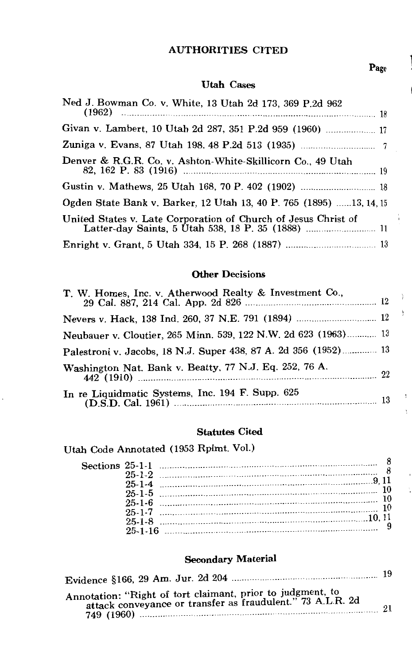#### AUTHORITIES CITED

#### Utah Cases

| Ned J. Bowman Co. v. White, 13 Utah 2d 173, 369 P.2d 962            |  |
|---------------------------------------------------------------------|--|
| Givan v. Lambert, 10 Utah 2d 287, 351 P.2d 959 (1960)               |  |
|                                                                     |  |
| Denver & R.G.R. Co. v. Ashton-White-Skillicorn Co., 49 Utah         |  |
|                                                                     |  |
| Ogden State Bank v. Barker, 12 Utah 13, 40 P. 765 (1895) 13, 14, 15 |  |
| United States v. Late Corporation of Church of Jesus Christ of      |  |
|                                                                     |  |

#### Other Decisions

| Neubauer v. Cloutier, 265 Minn. 539, 122 N.W. 2d 623 (1963) 13            |  |
|---------------------------------------------------------------------------|--|
| Palestroni v. Jacobs, 18 N.J. Super 438, 87 A. 2d 356 (1952) 13           |  |
| Washington Nat. Bank v. Beatty, 77 N.J. Eq. 252, 76 A.<br>$442$ (1910) 22 |  |
| In re Liquidmatic Systems, Inc. 194 F. Supp. 625                          |  |

#### Statutes Cited

Utah Code Annotated (1953 Rplmt. Vol.)

|               | $25-1-2$ 3  |  |
|---------------|-------------|--|
|               |             |  |
|               |             |  |
|               |             |  |
|               |             |  |
|               |             |  |
|               | $25-1-7$ 10 |  |
|               |             |  |
|               |             |  |
| $25 - 1 - 16$ |             |  |

#### Secondary Material

| Annotation: "Right of tort claimant, prior to judgment, to<br>attack conveyance or transfer as fraudulent." 73 A.L.R. 2d | 21 |
|--------------------------------------------------------------------------------------------------------------------------|----|

Page

1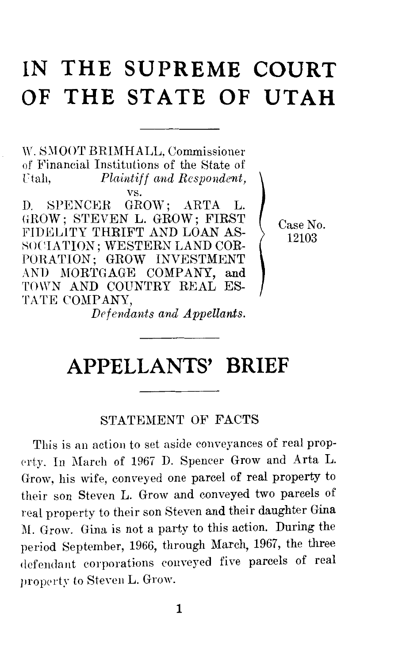## **IN THE SUPREME COURT OF THE STATE OF UTAH**

W. SMOOT BRIMHALL, Commissioner of Financial Institutions of the State of<br>Utah, Plaintiff and Respondent, Ftah, *Plaintiff and Respondent,*  vs.

D. SPENCER GROW; ARTA L. GROW; STEVEN L. GROW; FIRST FIDELITY THRIFT AND LOAN AS-SOCIATION; WESTERN LAND COR-PORATION; GROW INVESTMENT AND MORTGAGE COMPANY, and TOWN AND COUNTRY REAL ES-TATE COMPANY,

Case No. 12103

*Drfendants and Appellants.* 

## APPELLANTS' BRIEF

### STATEMENT OF FACTS

This is an action to set aside conveyances of real prop erty. In March of 1967 D. Spencer Grow and Arta L. Grow, his wife, conveyed one parcel of real property to their son Steven L. Grow and conveyed two parcels of real property to their son Steven and their daughter Gina M. Grow. Gina is not a party to this action. During the period September, 1966, through March, 1967, the three defendant corporations conveyed five parcels of real property to Steven L. Grow.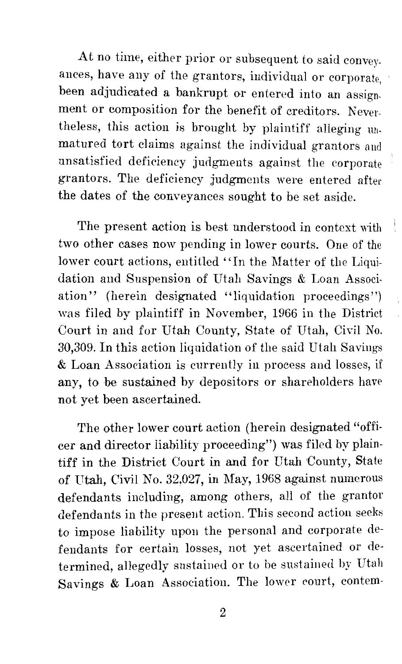At no time, either prior or subsequent to said conveyances, have any of the grantors, individual or corporate, been adjudicated a bankrupt or entered into an assignment or composition for the benefit of creditors. Nevertheless, this action is brought by plaintiff alleging mimatured tort claims against the individual grantors and unsatisfied deficiency judgments against the corporate grantors. The deficiency judgments were entered after the dates of the conveyances sought to be set aside.

The present action is best understood in context with two other cases now pending in lower courts. One of the lower court actions, entitled "In the Matter of the Liquidation and Suspension of Utah Savings & Loan Association" (herein designated "liquidation proceedings") was filed by plaintiff in November, 1966 in the District Court in and for Utah County, State of Utah, Civil No. 30,309. In this action liquidation of the said Utah Savings & Loan Association is currently in process and losses, if any, to be sustained by depositors or shareholders have not yet been ascertained.

The other lower court action (herein designated "officer and director liability proceeding") was filed by plaintiff in the District Court in and for Utah County, State of Utah, Civil No. 32,027, in May, 1968 against numerous defendants including, among others, all of the grantor defendants in the present action. This second action seeks to impose liability upon the personal and corporate defendants for certain losses, not yet ascertained or determined, allegedly sustained or to be sustained by Utah Savings  $\&$  Loan Association. The lower court, contem-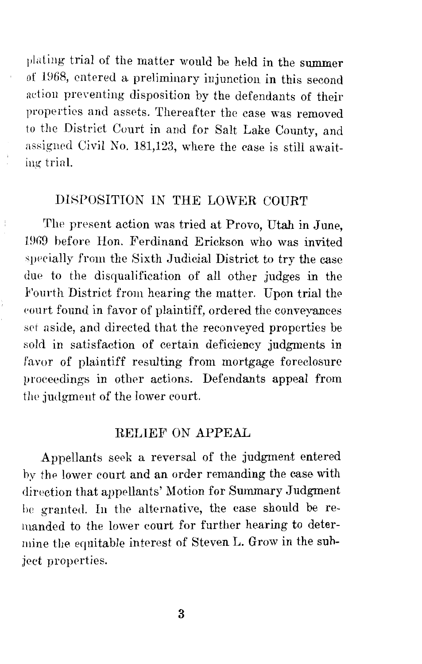plating trial of the matter would be held in the summer of 1968, entered a preliminary injunction in this second action preventing disposition by the defendants of their properties and assets. Thereafter the case was removed to the District Court in and for Salt Lake County, and assigned Civil No. 181,123, where the case is still awaiting- trinl.

### DISPOSITION IN THE LOWER COURT

 $\frac{1}{2}$ 

The present action was tried at Provo, Utah in June, 19G9 before Hon. Ferdinand Erickson who was invited specially from the Sixth Judicial District to try the case due to the disqualification of all other judges in the Fourth District from hearing the matter. Upon trial the court found in favor of plaintiff, ordered the conveyances set aside, and directed that the reconveyed properties be sold in satisfaction of certain deficiency judgments in favor of plaintiff resulting from mortgage foreclosure proceedings in other actions. Defendants appeal from the judgment of the lower court.

#### RELIEF ON APPEAL

Appellants seek a reversal of the judgment entered by the lower court and an order remanding the case with direction that appellants' Motion for Summary Judgment he granted. Iu th<> alternative, the case should be remanded to the lower court for further hearing to determine the equitable interest of Steven L. Grow in the suhject properties.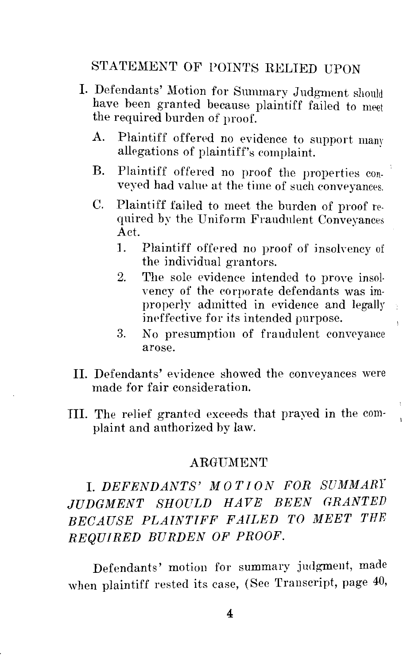## STATEMENT OF POINTS RELIED UPON

- I. Defendants' Motion for Summary Judgment should have been granted because plaintiff failed to meet the required burden of proof.
	- A. Plaintiff offered no evidence to support mam allegations of plaintiff's complaint.
	- B. Plaintiff offered no proof the properties conveyed had value at the time of such conveyances.
	- C. Plaintiff failed to meet the burden of proof required by the Uniform Fraudulent Conveyances<br>Act.  $\det$ .
		- 1. Plaintiff offered no proof of insokency of the individual grantors.
		- 2. The sole evidence intended to prove insolvency of the corporate defendants was improperly admitted in evidence and legally ineffective for its intended purpose.
		- 3. No presumption of fraudulent conveyance arose.
- IL Defendants' evidence showed the conveyances were made for fair consideration.
- III. The relief granted exceeds that prayed in the complaint and authorized by law.

#### ARGUMENT

## I. *DEFENDANTS' M* 0 *TI* 0 *N FOR SUMMARf JUDGMENT SHOULD HAVE BEEN GRANTED BECAUSE PLAINTIFF FAILED TO MEET THE REQUIRED BURDEN OF PROOF.*

Defendants' motion for summary judgment, made when plaintiff rested its case, (See Transcript, page 40,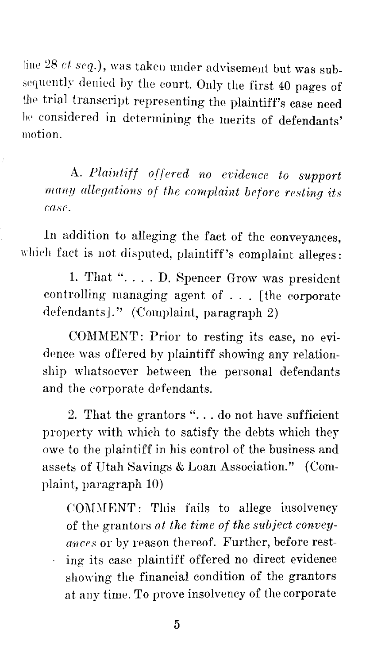line 28 *et seq.*), was taken under advisement but was subsequently denied by the court. Only the first 40 pages of the trial transcript representing the plaintiff's case need be considered in determining the merits of defendants' motion.

A. *Plaintiff offered no evidence to support many allegations of the complaint before resting its case.* 

In addition to alleging the fact of the conveyances, which fact is not disputed, plaintiff's complaint alleges:

1. That ".... D. Spencer Grow was president controlling managing agent of . . . [the corporate defendants]." (Complaint, paragraph 2)

COMMENT: Prior to resting its case, no evidence was offered by plaintiff showing any relationship whatsoever between the personal defendants and the corporate defendants.

2. That the grantors " $\dots$  do not have sufficient property with which to satisfy the debts which they owe to the plaintiff in his control of the business and assets of Utah Savings & Loan Association." (Complaint, paragraph 10)

COMMENT: This fails to allege insolvency of the grantors *at the time of the subject conveyances* or by reason thereof. Further, before resting its case plaintiff offered no direct evidence showing the financial condition of the grantors at any time. To prove insolvency of the corporate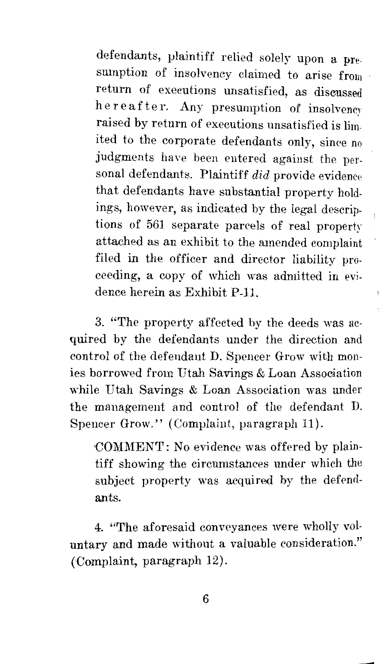defendants, plaintiff relied solely upon a presumption of insolvency claimed to arise from return of executions unsatisfied, as discussed here after. Any presumption of insolvency raised by return of executions unsatisfied is lirnited to the corporate defendants only, since no judgments have been entered against the personal defendants. Plaintiff did provide evidence that defendants have substantial property holdings, however, as indicated by the legal descriptions of 561 separate parcels of real property attached as an exhibit to the amended complaint filed in the officer and director liability proceeding, a copy of which was admitted in evidence herein as Exhibit P-11.

3. "The property affected by the deeds was acquired by the defendants under the direction and control of the defendant D. Spencer Grow with monies borrowed from Utah Savings & Loan Association while Utah Savings & Loan Association was under the management and control of the defendant D. Spencer Grow." (Complaint, paragraph 11).

COMMENT: No evidence was offered by plaintiff showing the circumstances under which the subject property was acquired by the defendants.

4. "'The aforesaid conveyances were wholly voluntary and made without a valuable consideration." (Complaint, paragraph 12).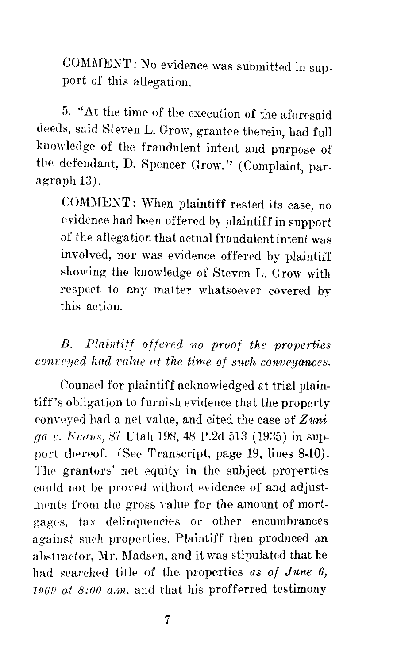COMMENT: No evidence was submitted in support of this allegation.

5. "At the time of the execution of the aforesaid deeds, said Steven L. Grow, grantee therein, had full kuowledge of the fraudulent intent and purpose of the defendant, D. Spencer Grow." (Complaint, paragraph 13).

COMMENT: When plaintiff rested its case, no evidence had been offered by plaintiff in support of the allegation that actual fraudulent intent was involved, nor was evidence offered by plaintiff showing the knowledge of Steven L. Grow with respect *to* any matter whatsoever covered by this action.

*B. Plaintiff offered no proof the properties conveyed had value at the time of such conveyances.* 

Counsel for plaintiff acknowledged at trial plaintiff's obligation to furnish evidence that the property conyeyed had a net value, and cited the case of *Zuniga v. Evans, 87 Utah 198, 48 P.2d 513 (1935)* in support thereof. (See Transcript, page 19, lines 8-10). The grantors' net equity in the subject properties could not be proved without evidence of and adjustments from the gross value for the amount of mortgag<>s, tax delinquencies or other encumbrances against surh properties. Plaintiff then produced an abstractor, Mr. Madsen, and it was stipulated that he had searched title of the properties *as of June 6*, *1.96'D at 8:00 a.m.* and that his profferred testimony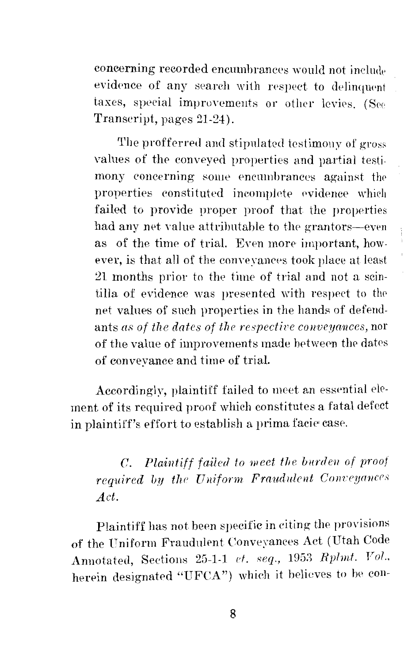concerning recorded encumbrances would not include evidence of any search with respect to delinquent taxes, special improvements or other levies. (See Transcript, pages 21-24).

The profferred and stipulated testimony of gross valnes of the conveyed properties and partial testimony concerning some encumbrances against the properties constituted incomplete evidence which failed *to* provide proper proof that the properties had any net value attributable to the grantors-even as of the time of trial. Even more important, however, is that all of the conveyances took place at least 21 months prior to the time of trial and not a scintilla of evidence was presented with respect to the net values of such properties in the hands of defendants *as of the dates of the respective conveyances*, nor of the value of improvements made between the dates of conveyance and time of trial.

Accordingly, plaintiff failed to meet an essential element of its required proof which constitutes a fatal defect in plaintiff's effort to establish a prima facie case.

*C. Plaintiff failed to meet the b11rde11 of proof required by the Uniform Fraudulent Conveyances Act.* 

Plaintiff has not been specific in eiting the provisions of the Uniform Fraudulent Conveyances Act (Utah Code Annotated, Sections 25-1-1 *ct. seq.,* 1953 *Rplmt. Vol.,* herein designated "UFCA") which it believes to be con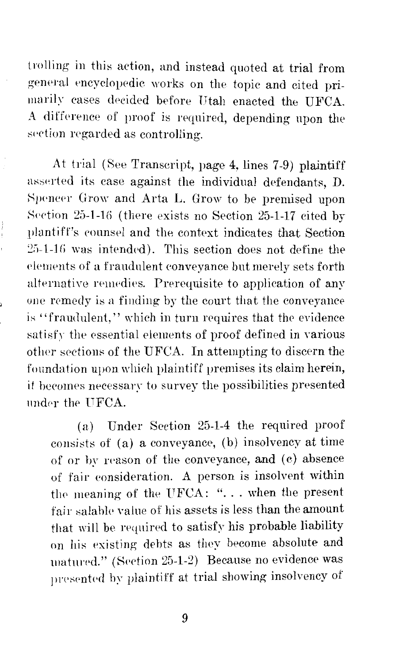trolling in this action, and instead quoted at trial from general encyclopedic works on the topic and cited primarily cases decided before Utah enacted the UFCA. A difference of proof is required, depending upon the section regarded as controlling.

At trial (See Transcript, page 4, lines 7-9) plaintiff asserted its case against the individual defendants, D. Spencer Grow and Arta L. Grow to be premised upon Section 25-1-16 (there exists no Section 25-1-17 cited by plantiff's eounsel and the context indicates that Section  $25-1-16$  was intended). This section does not define the elements of a fraudulent conveyance but merely sets forth alternative remedies. Prerequisite to application of any one remedy is a finding by the court that the conveyance is "fraudulent," which in turn requires that the evidence satisfy the essential elements of proof defined in various other sections of the UFCA. In attempting to discern the foundation upon which plaintiff premises its claim herein, it becomes necessary to survey the possibilities presented under the UFCA.

(a) Under Section 25-1-4 the required proof consists of (a) a conveyance, (b) insolvency at time of or by reason of the conveyance, and (c) absence of fair consideration. A person is insolvent withir the meaning of the UFCA: " $\dots$  when the present fair salable value of his assets is less than the amount that will be required to satisfy his probable liability on his existing debts as they become absolute and unatured." (Section 25-1-2) Because no evidence was presented by plaintiff at trial showing insolvency of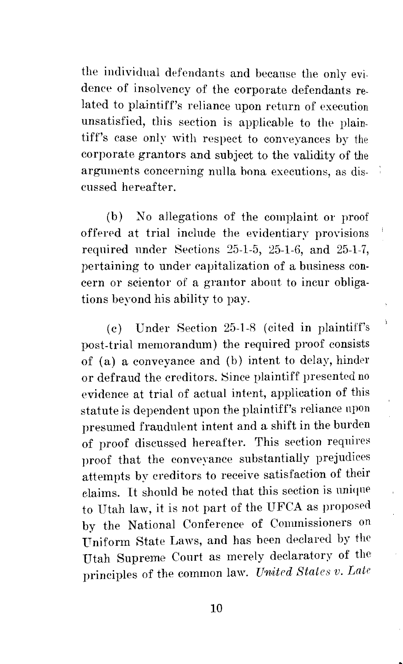the individual defendants and because the only evidence of insolvency of the corporate defendants related to plaintiff's reliance upon return of execution unsatisfied, this section is applicable to the plaintiff's case only with respect to conveyances by the corporate grantors and subject to the validity of the arguments concerning nulla bona executions, as discussed hereafter.

(b) No allegations of the complaint or proof offered at trial include the evidentiary provisions required under Sections  $25-1-5$ ,  $25-1-6$ , and  $25-1-7$ , pertaining to under capitalization of a business concern or scientor of a grantor about to incur obligations beyond his ability to pay.

j,

( c) Under Section 25-1-8 (cited in plaintiff's post-trial memorandum) the required proof consists of (a) a conveyance and (b) intent to delay, hinder or defraud the creditors. 8ince plaintiff presented no evidence at trial of actual intent, application of this statute is dependent upon the plaintiff's reliance npon presumed fraudulent intent and a shift in the burden of proof discussed hereafter. This section requires proof that the conveyance substantially prejudices attempts by creditors to receive satisfaction of their claims. It should be noted that this section is nniqne to Utah law, it is not part of the UFCA as proposed by the National Conference of Commissioners on Uniform State Laws, and has been declared by the Utah Supreme Court as merely declaratory of the principles of the common law. *United States v. Late*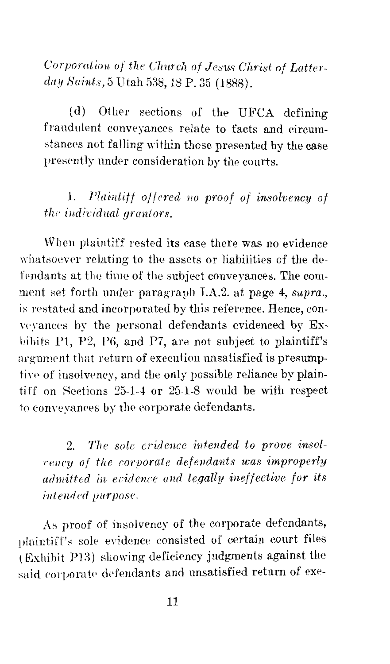*Corporation of the Church of Jestis Christ of Latterd11y Saints,* 5 Utah 538, 18 P. 35 (1888).

( d) Other sections of the UFCA defining fraudulent conveyances relate to facts and circum stances not falling within those presented by the case presently under consideration by the courts.

1. *Plai·1diff offered 1w proof of insolvency of the individual grantors.* 

When plaintiff rested its case there was no evidence whatsoever relating to the assets or liabilities of the defendants at the time of the subject conveyances. The comment set forth under paragraph I.A.2. at page 4, *supra.,*  is restated and incorporated by this reference. Hence, conveyances by the personal defendants evidenced by Exhibits P1, P2, P6, and P7, are not subject to plaintiff's argument that return of execution unsatisfied is presumptive of insolvency, and the only possible reliance by plaintiff on Sections  $25-1-4$  or  $25-1-8$  would be with respect to conveyances by the corporate defendants.

2. The sole evidence intended to prove insol*rency of the corporate defendants was improperly admitted in eridence and legally ineffective for its intended purpose.* 

As proof of insolvency of the corporate defendants, plaintiff's sole evidence consisted of certain court files  $($  Exhibit P13 $)$  showing deficiency judgments against the said corporate defendants and unsatisfied return of exe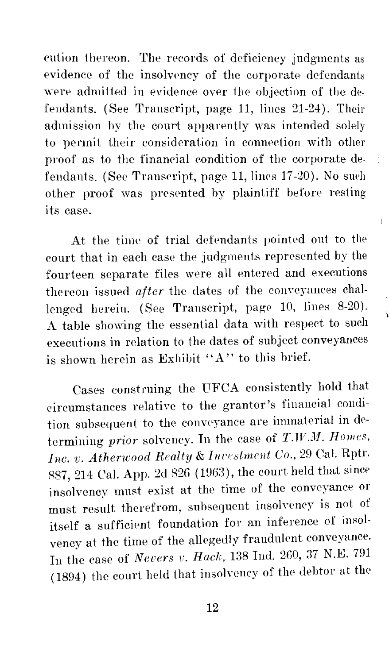cution thereon. The records of deficiency judgments as evidence of the insolvency of the corporate defendants were admitted in evidence over the objection of the defendants. (See Transcript, page 11, lines 21-24). Their admission by the court apparently was intended solely *to* permit their consideration in connection with other proof as to the financial condition of the corporate defendants. (See Transcript, page 11, lines 17-20). No such other proof was presented by plaintiff before resting its case.

At the time of trial defendants pointed out to the court that in each case the judgments represented by the fourteen separate files were all entered and executions thereon issued *after* the dates of the conveyances challenged herein. (See Transcript, page 10, lines 8-20). A table showing the essential data with respect to such executions in relation *to* the dates of subject conveyances is shown herein as Exhibit "A" to this brief.

 $\overline{1}$ 

Cases construing the UFCA consistently hold that circumstances relative to the grantor's financial condition subsequent *to* the conveyance are immaterial in determining *prior* solvency. In the case of *T.TV.M. Homes, Inc. v. Atherwood Realty & Investment Co., 29 Cal. Rptr.* R87, 214 Cal. App. 2d 826 (1963), the court held that since insolvency must exist at the time of the conveyance or must result therefrom, subsequent insolvency is not of itself a sufficient foundation for an inference of insolvency at the time of the allegedly fraudulent conveyance. In the case of *Nevers v. Hack,* 138 Ind. 260, 37 N.E. 791 (1894) the court held that insolvency of the debtor at the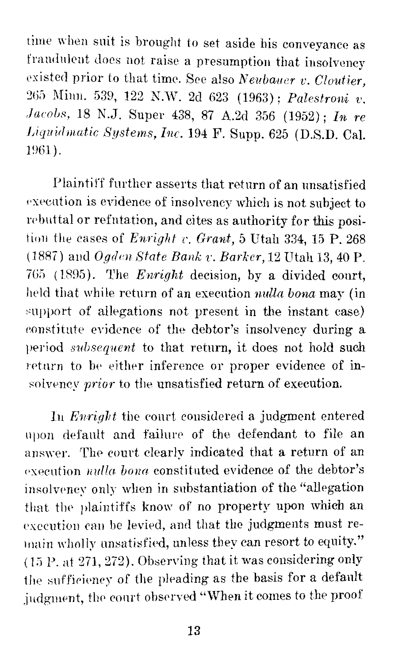time when suit is brought to set aside his conveyance as fraudulent does not raise a presumption that insolvency existed prior to that time. See also *Neubauer v. Cloutier,*  265 Minn. 539, 122 N.W. 2d 623 (1963); *Palestroni v. Jacobs,* 18 N.J. Super 438, 87 A.2d 356 (1952); *In re l)iq11id111atic Systems, Inc.* 194 F. Supp. 625 (D.S.D. Cal. 1961).

Plaintiff further asserts that return of an unsatisfied execution is evidence of insolvency which is not subject to rebuttal or refutation, and cites as authority for this position the cases of *Enright v. Grant*, 5 Utah 334, 15 P. 268 (1887) and *Ogden State Bank v. Barker*, 12 Utah 13, 40 P. 765 (1895). The *Enright* decision, by a divided court, held that while return of an execution *nulla bona* may (in support of allegations not present in the instant case) constitute evidence of the debtor's insolvency during a period *subsequent* to that return, it does not hold such return to be either inference or proper evidence of insolwncy *prior* to the unsatisfied return of execution.

In *Enright* the court considered a judgment entered upon default and failure of the defendant to file an answer. The court clearly indicated that a return of an execution *nulla bona* constituted evidence of the debtor's insolvency only when in substantiation of the "allegation that the plaintiffs know of no property upon which an execution can be levied, and that the judgments must remain wholly unsatisfied, unless they can resort to equity."  $(15$  P. at 271, 272). Observing that it was considering only the snffiriency of the pleading as the basis for a default judgment, the court observed "When it comes to the proof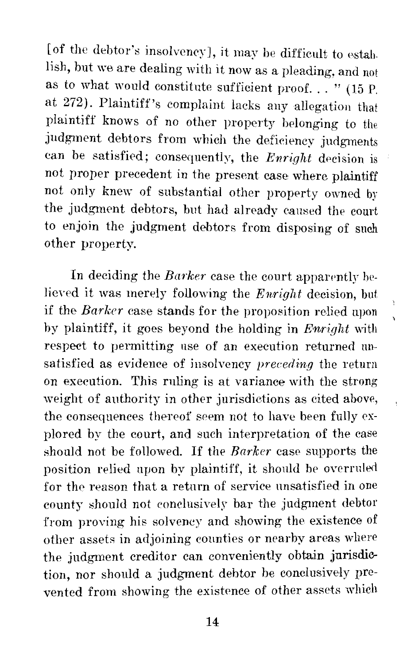[of the debtor's insolvency], it may be difficult to establish, but we are dealing with it now as a pleading, and not as to what would constitute sufficient proof. . . " (15 P. at 272). Plaintiff's complaint lacks any allegation that plaintiff knows of no other property belonging to the judgment debtors from which the deficiency judgments can be satisfied; consequently, the *Enright* decision is not proper precedent in the present case where plaintiff not only knew of substantial other property owned by the judgment debtors, but had already caused the court to enjoin the judgment debtors from disposing of such other property.

In deciding the *Barker* case the court apparently believed it was merely following the *Enright* decision, but if the *Barker* case stands for the proposition relied upon by plaintiff, it goes beyond the holding in *Enright* with respect to permitting use of an execution returned unsatisfied as evidence of insolvency *preceding* the return on execution. This rnling is at variance with the strong weight of authority in other jurisdictions as cited above, the consequences thereof seem not to have been fully explored by the court, and such interpretation of the case should not be followed. If the *Barker* case supports the position relied upon by plaintiff, it should be overruled for the reason that a return of service unsatisfied in one county should not conclusively bar the judgment debtor from proving his solvency and showing the existence of other assets in adjoining counties or nearby areas where the judgment creditor can conveniently obtain jurisdiction, nor should a judgment debtor be conclusively prevented from showing the existence of other assets which

14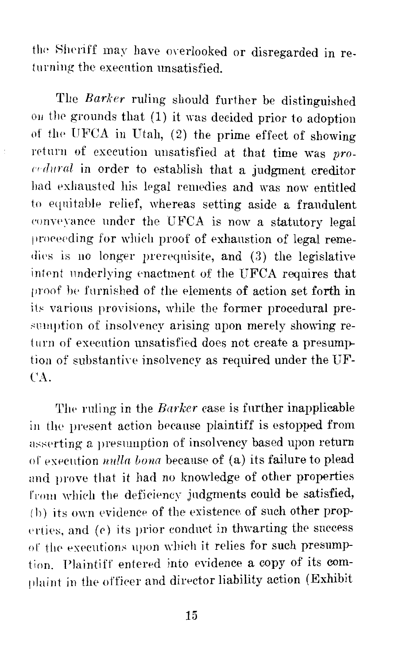the Sheriff may have overlooked or disregarded in returning the execution unsatisfied.

The *Barker* ruling should further be distinguished on the grounds that (1) it was decided prior to adoption of the UFCA in Utah,  $(2)$  the prime effect of showing retnrn of execution unsatisfied at that time was *pro- ('1 dural* in order *to* establish that a judgment creditor had exhausted his legal remedies and was now entitled to eqnitahle relief, whereas setting aside a fraudulent conveyance under the UFCA is now a statutory legal proceeding for which proof of exhaustion of legal remedies is no longer prerequisite, and (3) the legislative intent underlying enactment of the UFCA requires that proof be furnished of the elements of action set forth in its various provisions, while the former procedural presumption of insolvency arising upon merely showing return of execution unsatisfied does not create a presumption of substantive insolvency as required under the UF-CA.

The ruling in the *Barker* case is further inapplicable in the present action because plaintiff is estopped from asserting a presumption of insolvency based upon return of execution *nulla bona* because of (a) its failure to plead and prove that it had no knowledge of other properties from which the deficiency judgments could be satisfied,  $(b)$  its own evidence of the existence of such other properties, and  $(e)$  its prior conduct in thwarting the success of the executions upon which it relies for such presumption. Plaintiff entered into evidence a copy of its complaint in the officer and director liability action (Exhibit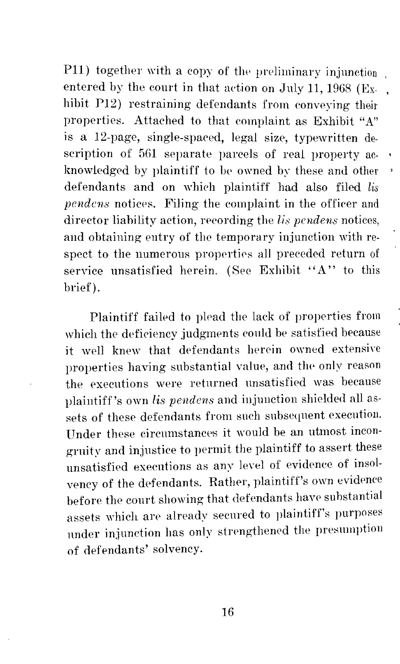P11) together with a copy of the preliminary injunction entered by the court in that action on July 11, 1968 (Exhibit P12) restraining defendants from conveying their properties. Attached to that complaint as Exhibit "A" is a 12-page, single-spaced, legal size, typewritten description of 561 separate parcels of real property acknowledged by plaintiff to be owned by these and other defendants and on which plaintiff had also filed *lis pendens* notices. Filing the complaint in the officer and director liability action, recording the *lis pendens* notices, and obtaining entry of the temporary injunction with respect to the numerous properties all preceded return of service unsatisfied herein. (See Exhibit "A" to this brief).

Plaintiff failed to plead the lack of properties from which the deficiency judgments could be satisfied because it well knew that defendants herein owned extensive properties having substantial value, and the only reason the executions were returned unsatisfied was because plaintiff's own *lis pendens* and injunction shielded all assets of these defendants from such subsequent execution. Under these circumstances it would be an utmost incongruity and injustice to permit the plaintiff to assert these unsatisfied executions as any level of evidence of insolvency of the defendants. Rather, plaintiff's own evidence before the court showing that defendants have substantial assets which are already secured to plaintiff's purposes under injunction has only strengthened the presumption of defendants' solvency.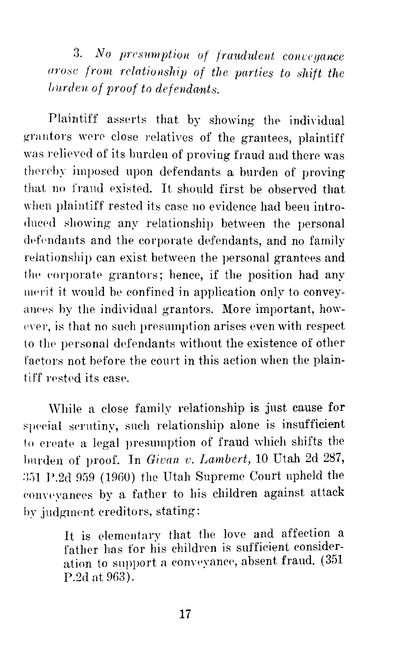3. *No presumption of fraudulent conveyance arose from relationship of the parties to shift the lnurden of proof to defendants.* 

Plaintiff asserts that by showing the individual grantors were close relatives of the grantees, plaintiff was relieved of its burden of proving fraud and there was thereby imposed upon defendants a burden of proving that no fraud existed. It should first be observed that when plaintiff rested its case no evidence had been introduced showing any relationship between the personal defendants and the corporate defendants, and no family relationship can exist between the personal grantees and the corporate grantors; hence, if the position had any merit it would be confined in application only to conveyances by the individual grantors. More important, however, is that no such presumption arises even with respect to the personal defendants without the existence of other factors not before the court in this action when the plaintiff rested its case.

'Vhile a close family relationship is just cause for special serutiny, such relationship alone is insufficient to create a legal presumption of fraud which shifts the burden of proof. In *Givan v. Lambert*, 10 Utah 2d 287, :l;)l P.2d 959 (1960) the Utah Supreme Court upheld the conveyances by a father to his children against attack by judgment creditors, stating:

> It is elementary that the love and affection a father has for his children is sufficient consideration to support a conveyance, absent fraud. (351 P.2d at 963).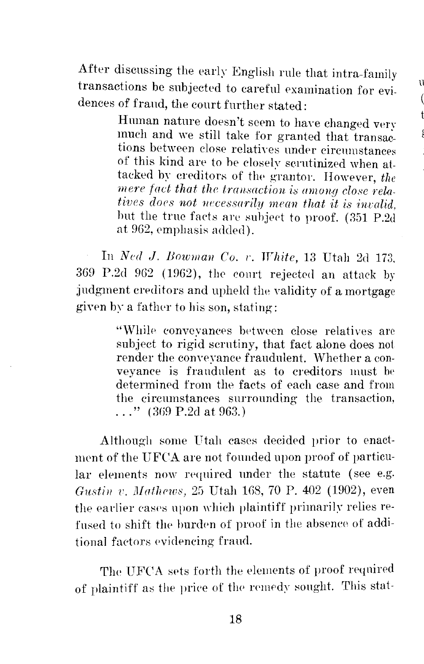ll t

After discussing the early English rule that intra-family transactions be subjected to careful examination for evidences of fraud, the court further stated:

> Human nature doesn't seem to have changed very much and we still take for granted that tions between close relatives under circumstances of this kind are to be closely scrutinized when attacked by creditors of the grantor. However, the *mere fact that the transaction is among close relatives does not necessarily mean that it is invalid.* but the true facts are subject to proof. (351 P.2d at 962, emphasis added).

In *Ned J. Bowman Co. v. White*, 13 Utah 2d 173. 369 P.2cl 962 ( 1962), the comt rejected an attack by judgment creditors and upheld the validity of a mortgage given by a father to his son, stating:

> "While conveyances between close relatives are subject to rigid scrutiny, that fact alone does not render the conveyance fraudulent. Whether a conveyance is frandulent as to creditors must be determined from the facts of each case and from the circumstances surrounding the transaction, ..." (  $369$  P.2d at 963.)

Although some Utah cases decided prior to enactment of the UFCA are not founded upon proof of particular elements now required under the statute (see e.g. *Gustin v. Mathews, 25 Utah 168, 70 P. 402 (1902), even* the earlier cases upon which plaintiff primarily relies refused to shift the burden of proof in the absence of additional factors evidencing fraud.

The UFCA sets forth the elements of proof required of plaintiff as the price of the remedy sought. This stat-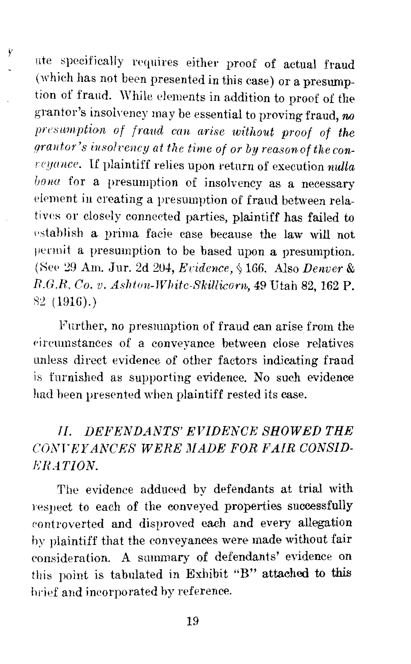nte specifically n'quires either proof of actual fraud (which has not been presented in this case) or a presumption of fraud. While elements in addition to proof of the grantor's insolvency may be essential to proving fraud, *<sup>M</sup>* presumption of fraud can arise without proof of the *drantor's insolvency at the time of or by reason of the conrcyunce.* If plaintiff relies upon return of execution *nulla*  bona for a presumption of insolvency as a necessary element in creating a presumption of fraud between relatives or closely connected parties, plaintiff has failed to establish a prima facie case because the law will not permit a presumption to be based upon a presumption. (See 29 Am. Jur. 2d 204, *Evidence*, § 166. Also *Denver & R.G.R. Co. v. Ashton-Whitc-8killiconi,* 49 Utah 82, 162 P. *82* (1916).)

Further, no presumption of fraud can arise from the circumstances of a conveyance between close relatives unless direct evidence of other factors indicating fraud is fnrnished as supporting evidence. No such evidence had been presented when plaintiff rested its case.

### *II. DEFENDANTS' EVIDENCE SHOWED THE CONrEYANCE8 WERE MADE FOR FAIR CONSID-RRATION.*

The evidence adduced by defendants at trial with respect to each of the conveyed properties successfully rontroverted and disproved each and every allegation hy plaintiff that the conveyances were made without fair consideration. A summary of defendants' evidence on this point is tabulated in Exhibit "B" attached to this brief and incorporated by reference.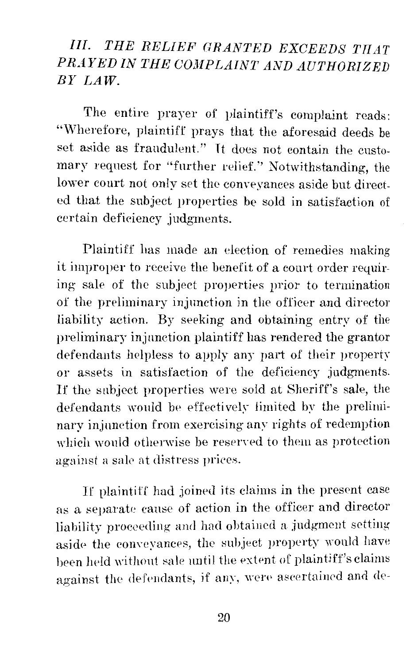## *Ill. THE RELIEF GRANTED EXCEEDS TIIAT PRAYED IN THE COMPLAINT AND AUTHORIZED BY LAW.*

The entire prayer of plaintiff's complaint reads: "Wherefore, plaintiff prays that the aforesaid deeds be set aside as fraudulent." Tt does not contain the customary request for "further relief." Notwithstanding, the lower court not only set the conveyances aside but directed that the subject properties be sold in satisfaction of certain deficiency judgments.

Plaintiff has made an election of remedies making it improper to receive the benefit of a court order requiring sale of the subject properties prior to termination of the preliminary injunction in the officer and director liability action. By seeking and obtaining entry of the preliminary injunction plaintiff has rendered the grantor defendants helpless to apply any part of their property or assets in satisfaction of the deficiency judgments. If the subject properties were sold at Sheriff's sale, the defendants would be effectively limited by the preliminary injunction from exercising any rights of redemption which would otherwise be reserved to them as protection against a sale at distress prices.

If plaintiff had joined its claims in the present case as a separate cause of action in the officer and director liability proceeding and had obtained a judgment setting aside the conveyances, the subject property would have heen held without sale until the extent of plaintiff's claims against the defendants, if any, were ascertained and de-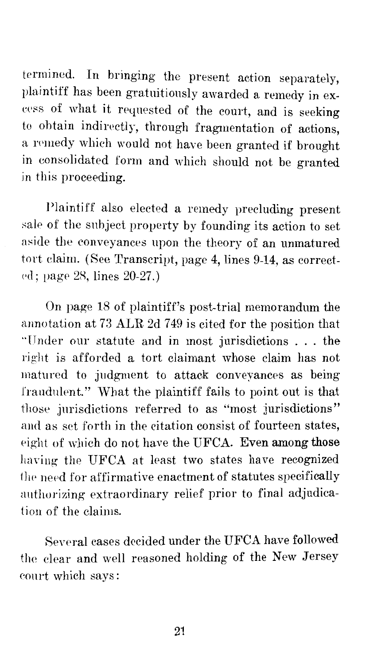termined. In bringing the present action separately, plaintiff has been gratnitiously awarded a remedy in excess of what it requested of the court, and is seeking to obtain indirectly, through fragmentation of actions, a remedy which would not have been granted if brought in consolidated form and which should not be granted in this proceeding.

Plaintiff also elected a remedy precluding present sale of the subject property by founding its action to set aside the conveyances upon the theory of an unmatured tort claim. (See Transcript, page 4, lines 9-14, as correct ed; page 28, lines 20-27.)

On page 18 of plaintiff's post-trial memorandum the annotation at 73 ALR 2d 749 is cited for the position that "Under our statute and in most jurisdictions . . . the right is afforded a tort claimant whose clajm has not matured *to* judgment *to* attack conveyances as being fraudnlent." What the plaintiff fails *to* point out is that those jurisdictions referred to as "most jurisdictions" and as set forth in the citation consist of fourteen states, eight of which do not have the UFCA. Even among those having the UFCA at least two states have recognized the need for affirmative enactment of statutes specifically authorizing extraordinary relief prior to final adjudication of the claims.

Several cases decided under the UFCA have followed the clear and well reasoned holding of the New Jersey eonrt which says: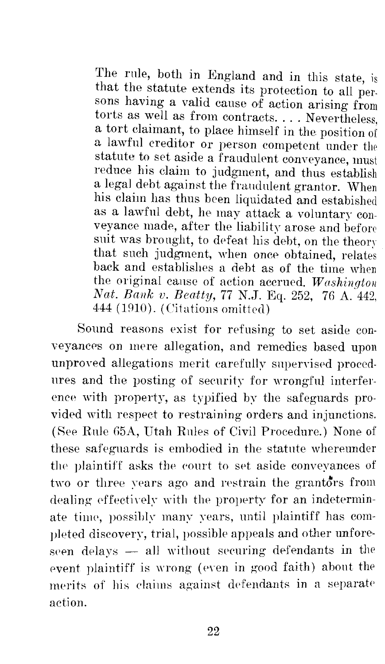The rule, both in England and in this state, is that the statute extends its protection to all persons having a valid cause of action arising from torts as well as from contracts .... Nevertheless, a tort claimant, to place himself in the position of a lawful creditor or person competent under the statute to set aside a fraudulent conveyance, must reduce his claim to judgment, and thus establish a legal debt against the fraudulent grantor. When his claim has thus been liquidated and estabished as a lawful debt, he may attack a voluntary conveyance made, after the liability arose and before suit was bronght, to defeat his debt, on the theory that such judgment, when once obtained, relates back and establishes a debt as of the time when the original cause of action accrued. *Washington Nat. Bank v. Beatty,* 77 N.J. Eq. 252, 76 A. 442, 444 (1910). (Citations omitted)

Sound reasons exist for refusing to set aside conveyances on mere allegation, and remedies based upon unproved allegations merit carefully supervised procedures and the posting of security for wrongful interference with property, as typified by the safeguards provided with respect *to* restraining orders and injunctions. (See Rule 65A, Utah Rules of Civil Procedure.) None of these safeguards is embodied in the statute whereunder the plaintiff asks the eonrt to set aside conveyances of two or three vears ago and restrain the grantors from dealing effectively with the property for an indeterminate time, possibly many years, until plaintiff has completed discovenr, trial, possible appeals and other unforeseen delays  $-$  all without securing defendants in the event plaintiff is wrong (even in good faith) about the merits of his claims against defendants in a separate action.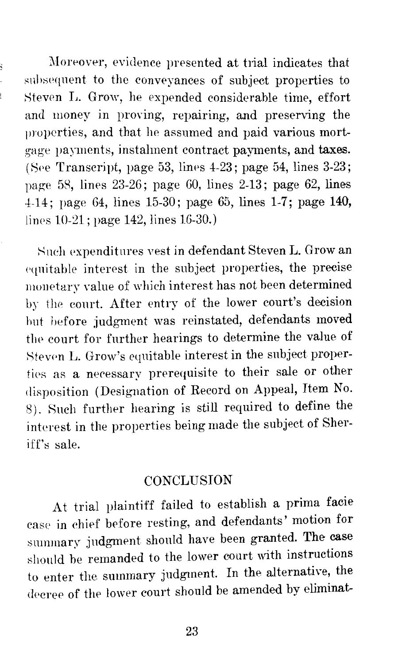Moreover, evidence presented at trial indicates that subsequent to the conveyances of subject properties to Steven L. Grow, he expended considerable time, effort and money in proving, repairing, and preserving the properties, and that he assumed and paid various mortgage vayments, instalment contract payments, and taxes. (See Transcript, page 53, lines  $4-23$ ; page 54, lines  $3-23$ ; page 58, lines  $23-26$ ; page 60, lines  $2-13$ ; page 62, lines 4-14; page G4, lines 15-30; page 65, lines 1-7; page **140,**  lines 10-21; page 142, lines 16-30.)

Such expenditures vest in defendant Steven L. Grow an equitable interest in the subject properties, the precise monetary value of which interest has not been determined by the conrt. After entry of the lower court's decision hut before judgment was reinstated, defendants moved the court for further hearings to determine the value of Steven L. Grow's equitable interest in the subject properties as a necessary prerequisite to their sale or other disposition (Designation of Record on Appeal, Item No. 8). Such further hearing is still required to define the interest in the properties being made the subject of Sheriff's sale.

#### **CONCLUSION**

At trial plaintiff failed to establish a prima facie case in chief before resting, and defendants' motion for summary judgment should have been granted. The case should be remanded to the lower court with instructions to enter the summary judgment. In the alternative, the decree of the lower court should be amended by eliminat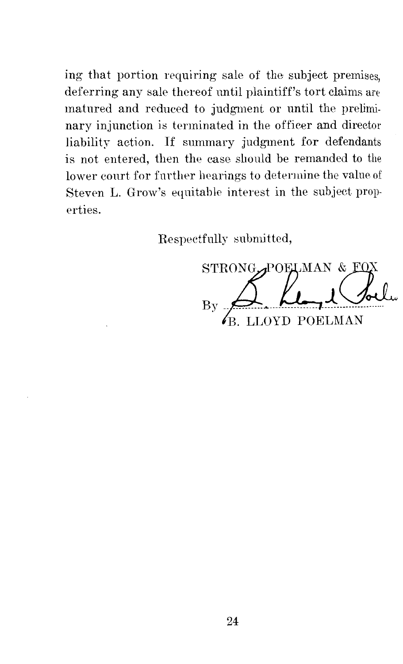ing that portion requiring sale of the subject premises, deferring any sale thereof until plaintiff's tort claims are matured and reduced to judgment or until the preliminary injunction is terminated in the officer and director liability action. If summary judgment for defendants is not entered, then the case should be remanded to the lower court for further hearings to determine the value of Steven L. Grow's equitable interest in the subject properties.

Respectfully submitted,

STRONG POELMAN & FO LOYD POELMAN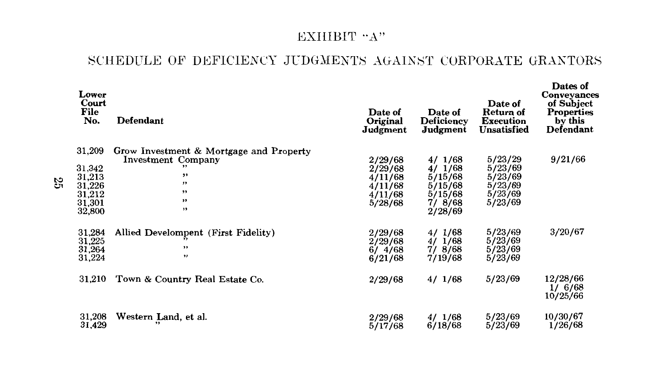#### EXHIBIT "A"

#### SCHEDULE OF DEFICIENCY JUDGMENTS AGAINST CORPORATE GRANTORS

|    | Lower<br>Court<br>File<br>No.                                      | Defendant                                                                                              | Date of<br>Original<br>Judgment                                | Date of<br><b>Deficiency</b><br>Judgment                               | Date of<br>Return of<br><b>Execution</b><br>Unsatisfied        | Dates of<br><b>Conveyances</b><br>of Subject<br>Properties<br>by this<br>Defendant |
|----|--------------------------------------------------------------------|--------------------------------------------------------------------------------------------------------|----------------------------------------------------------------|------------------------------------------------------------------------|----------------------------------------------------------------|------------------------------------------------------------------------------------|
| 35 | 31,209<br>31,342<br>31,213<br>31,226<br>31,212<br>31,301<br>32,800 | Grow Investment & Mortgage and Property<br><b>Investment Company</b><br>,,<br>$, \,$<br>,,<br>,,<br>,, | 2/29/68<br>2/29/68<br>4/11/68<br>4/11/68<br>4/11/68<br>5/28/68 | 4/1/68<br>4/1/68<br>5/15/68<br>5/15/68<br>5/15/68<br>7/8/68<br>2/28/69 | 5/23/29<br>5/23/69<br>5/23/69<br>5/23/69<br>5/23/69<br>5/23/69 | 9/21/66                                                                            |
|    | 31,284<br>31,225<br>31,264<br>31,224                               | Allied Develompent (First Fidelity)<br>,,<br>,,                                                        | 2/29/68<br>2/29/68<br>6/4/68<br>6/21/68                        | 4/1/68<br>1/68<br>4/<br>77<br>8/68<br>7/19/68                          | 5/23/69<br>5/23/69<br>5/23/69<br>5/23/69                       | 3/20/67                                                                            |
|    | 31,210                                                             | Town & Country Real Estate Co.                                                                         | 2/29/68                                                        | 4/1/68                                                                 | 5/23/69                                                        | 12/28/66<br>1/6/68<br>10/25/66                                                     |
|    | 31,208<br>31,429                                                   | Western Land, et al.                                                                                   | 2/29/68<br>5/17/68                                             | 4/1/68<br>6/18/68                                                      | 5/23/69<br>5/23/69                                             | 10/30/67<br>1/26/68                                                                |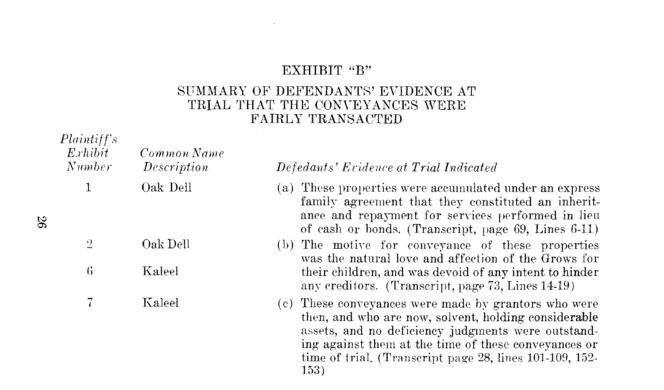#### EXHIBIT "B"

 $\sim$ 

#### SUMMARY OF DEFENDANTS' EVIDENCE AT TRIAL THAT THE CONVEYANCES WERE FAIRLY TRANSACTED

| Plaintiff's<br>Exhibit<br>Number | Common Name<br>Description | Defedants' Evidence at Trial Indicated                                                                                                                                                                                                                                                        |
|----------------------------------|----------------------------|-----------------------------------------------------------------------------------------------------------------------------------------------------------------------------------------------------------------------------------------------------------------------------------------------|
|                                  | Oak Dell                   | (a) These properties were accumulated under an express<br>family agreement that they constituted an inherit-<br>ance and repayment for services performed in lieu<br>of eash or bonds. (Transcript, page 69, Lines 6-11)                                                                      |
| $\overline{2}$                   | Oak Dell                   | (b) The motive for conveyance of these properties<br>was the natural love and affection of the Grows for                                                                                                                                                                                      |
| 6                                | Kaleel                     | their children, and was devoid of any intent to hinder<br>any creditors. (Transcript, page 73, Lines 14-19)                                                                                                                                                                                   |
|                                  | Kaleel                     | (c) These conveyances were made by grantors who were<br>then, and who are now, solvent, holding considerable<br>assets, and no deficiency judgments were outstand-<br>ing against them at the time of these conveyances or<br>time of trial. (Transcript page 28, lines 101-109, 152-<br>153) |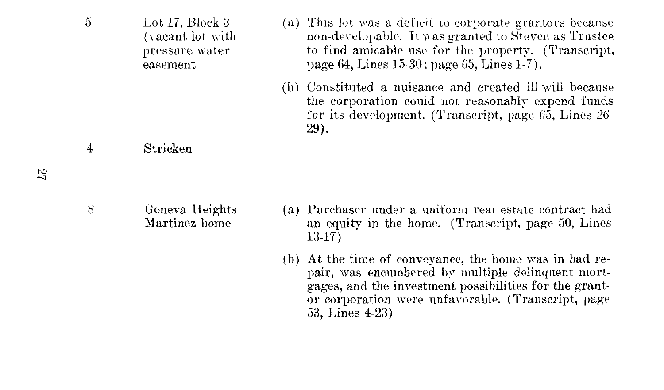- 5 Lot 17, Block 3 (a) This lot \ms a deficit to corporate grantors because (vacant lot with non-dewlopable. It was granted to Steven as Trustee pressure water to find amicable use for the property. (Transcript, page 64, Lines 15-30; page 65, Lines 1-7). easement
	- (b) Constituted a nuisance and created ill-will the corporation could not reasonably expend funds for its development. (Transcript, page 65, Lines 26- 29).

#### 4 Stricken

- 8 Geneva Heights Martinez home
- (a) Purchaser under a uniform real estate contract had an equity in the home. (Transcript, page 50, Lines 13-17)
- (b) At the time of conveyance, the home was in bad repair, was encumbered by multiple delinquent mortgages, and the investment possibilities for the grantor corporation were unfavorable. (Transcript, page 53, Lines 4-23)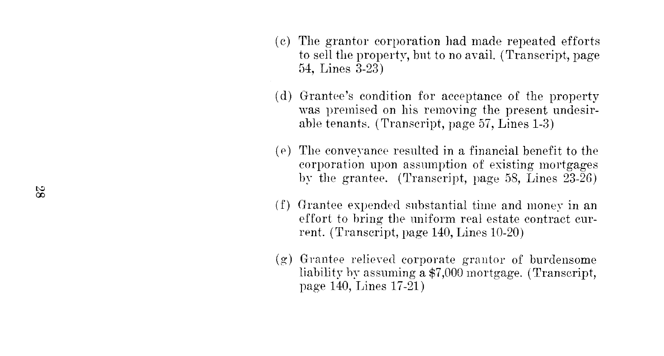- ( c) The grantor corporation had made repeated efforts to sell the property, but to no avail. (Transcript, page 64, Lines 3-23)
- ( d) Grantee's condition for acceptance of the property was premised on his removing the present undesirable tenants. (Transcript, page  $57$ , Lines 1-3)
- $(e)$  The conveyance resulted in a financial benefit to the corporation upon assumption of existing mortgages by the grantee. (Transcript, page 58, Lines  $23-26$ )
- ( f) Grantee expended snbstantial time and money in an effort to bring the uniform real estate contract current. (Transcript, page  $140$ , Lines  $10-20$ )
- $(g)$  Grantee relieved corporate grantor of burdensome liability by assuming a  $$7,000$  mortgage. (Transcript, page 140, Lines 17-21)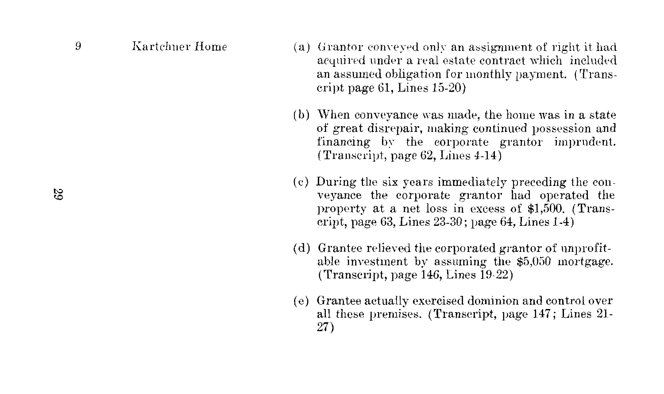- 9 Kartchner Home (a) Grantor conveyed only an assignment of right it had acquired under a real estate contract which included an assumed obligation for monthly payment. (Transcript page 61, Lines 15-20)
	- (b) When conveyance was made, the home was in a state of great disrepair, making continued possession and financing by the corporate grantor imprudent. (Transcript, page 62, Lines 4-14)
	- ( c) During the six years immediately preceding the conveyance the corporate grantor had operated the property at a net loss in excess of \$1,500. (Transcript, page 63, Lines 23-30; page 64, Lines 1-4)
	- ( d) Grantee relieved the corporated grantor of unprofitable investment by assuming the \$5,050 mortgage. (Transcript, page  $146$ , Lines  $19-22$ )
	- ( e) Grantee actually exercised dominion and control over all these premises. (Transcript, page 147; Lines 21- 27)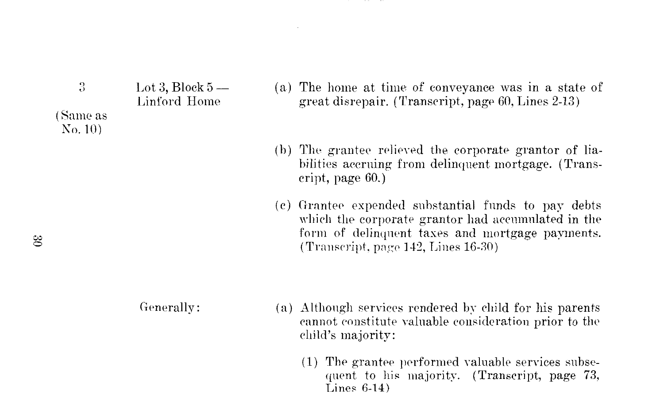| 2                  | Lot 3, Block $5-$<br>Linford Home |
|--------------------|-----------------------------------|
| Same as<br>No. 10) |                                   |

- (a) The home at time of conveyance was in a state of great disrepair. (Transcript, page  $60$ , Lines  $2-13$ )
- $(b)$  The grantee relieved the corporate grantor of liabilities accruing from delinquent mortgage. (Transcript, page 60.)
- (c) Grantee expended substantial funds to pay debts which the corporate grantor had accumulated in the form of delinqnent taxes and mortgage payments.  $(Transcript, page 142, Lines 16-30)$

Generally: (a) Although services rendered by child for his parents cannot constitute valnable consideration prior to the child's majority:

> $(1)$  The grantee performed valuable services subsequent to his majority. (Transcript, page 73, Lines 6-14)

(Same